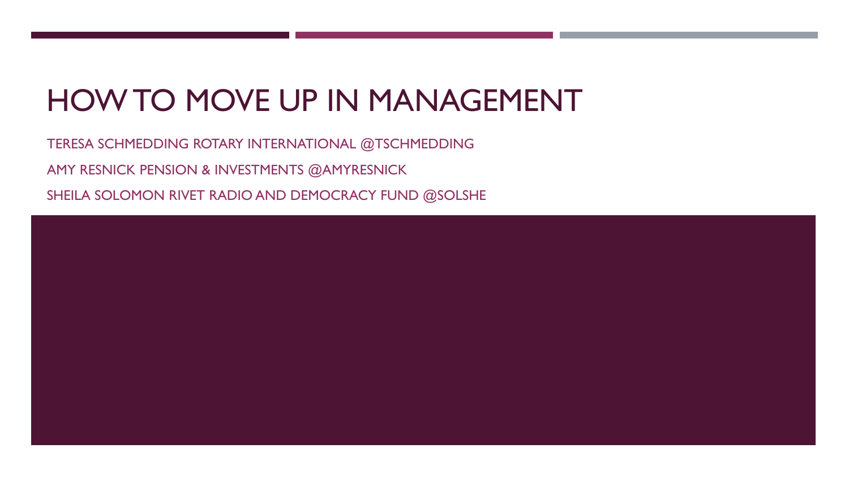# HOW TO MOVE UP IN MANAGEMENT

TERESA SCHMEDDING ROTARY INTERNATIONAL @TSCHMEDDING AMY RESNICK PENSION & INVESTMENTS @AMYRESNICK

SHEILA SOLOMON RIVET RADIO AND DEMOCRACY FUND @SOLSHE

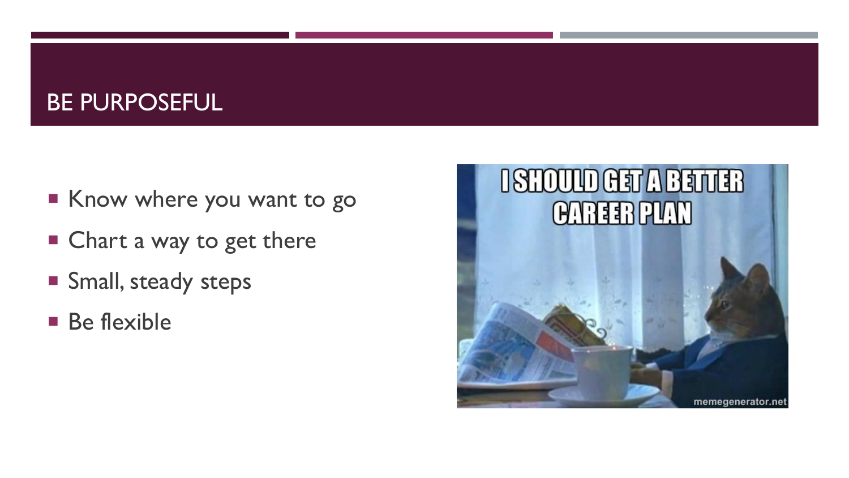#### BE PURPOSEFUL

- Know where you want to go
- Chart a way to get there
- **Small, steady steps**
- **Be flexible**

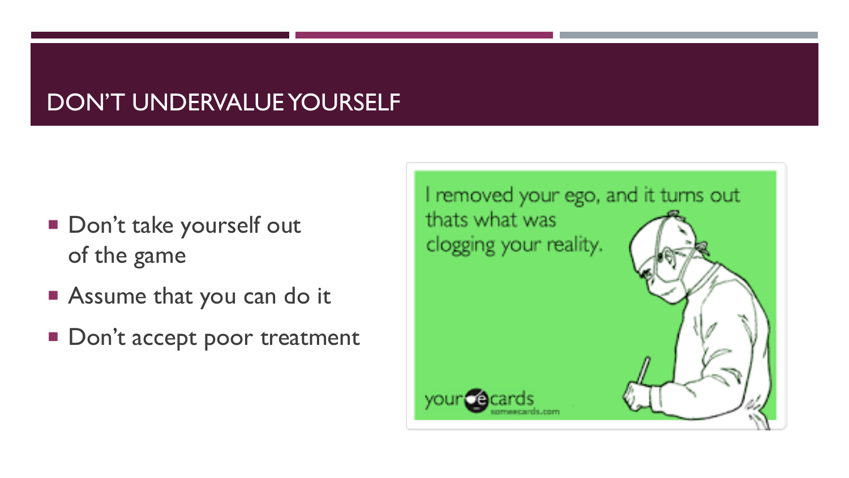# DON'T UNDERVALUE YOURSELF

- Don't take yourself out of the game
- **Assume that you can do it**
- Don't accept poor treatment

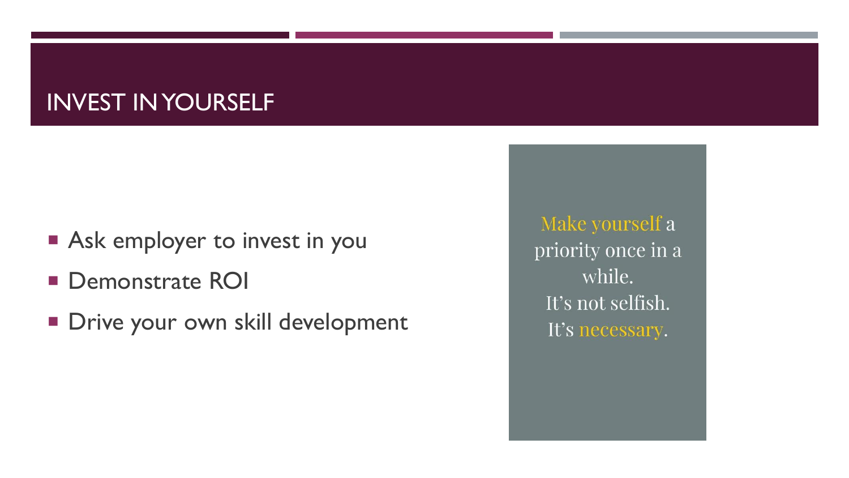## INVEST IN YOURSELF

- **Ask employer to invest in you**
- **Demonstrate ROI**
- **Drive your own skill development**

Make yourself a priority once in a while. It's not selfish. It's necessary.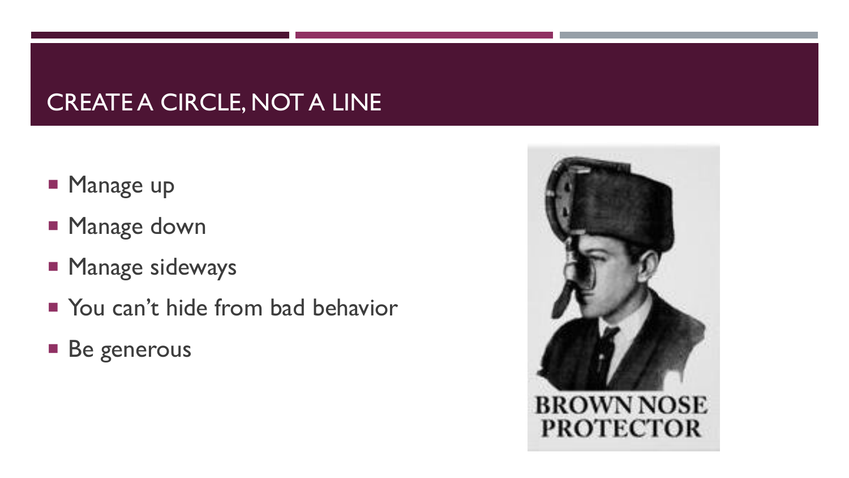# CREATE A CIRCLE, NOT A LINE

- **Manage up**
- **Manage down**
- **Manage sideways**
- You can't hide from bad behavior
- **Be generous**

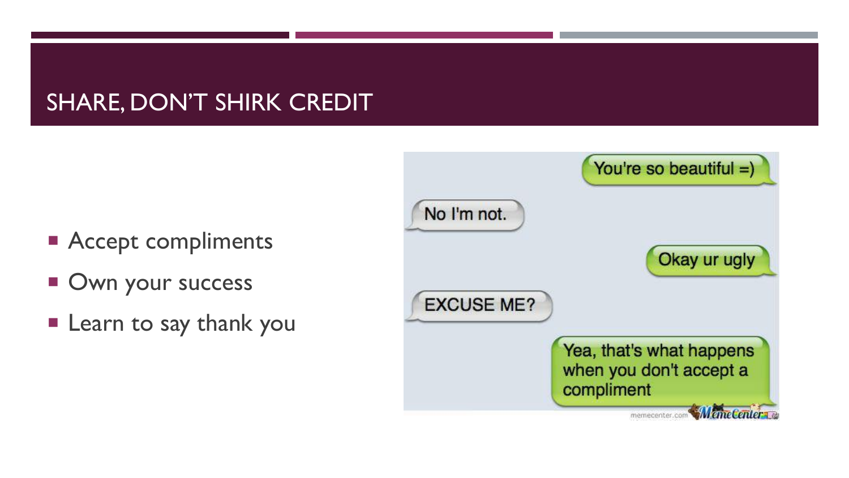### SHARE, DON'T SHIRK CREDIT

- **Accept compliments**
- **Own your success**
- **Learn to say thank you**

|                   | You're so beautiful =)                                            |
|-------------------|-------------------------------------------------------------------|
| No I'm not.       |                                                                   |
|                   | Okay ur ugly                                                      |
| <b>EXCUSE ME?</b> |                                                                   |
|                   | Yea, that's what happens<br>when you don't accept a<br>compliment |
|                   | <b>emeCenter</b><br>memecenter.com                                |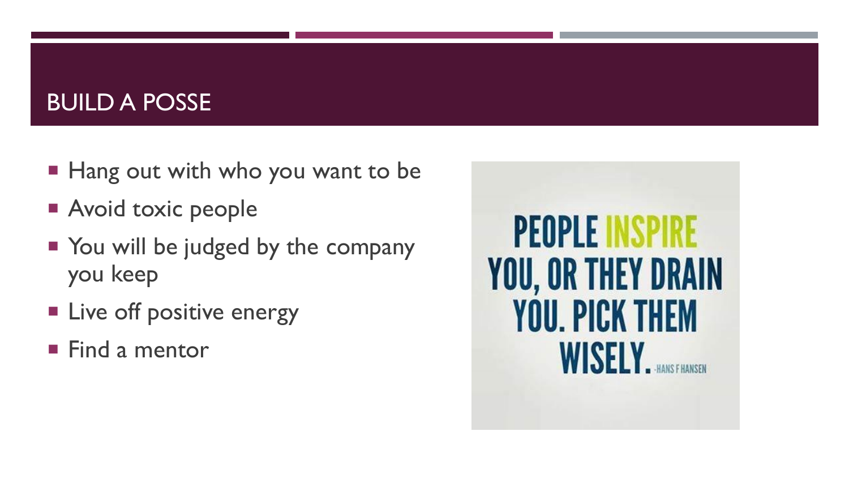#### BUILD A POSSE

- Hang out with who you want to be
- **Avoid toxic people**
- You will be judged by the company you keep
- **Live off positive energy**
- **Find a mentor**

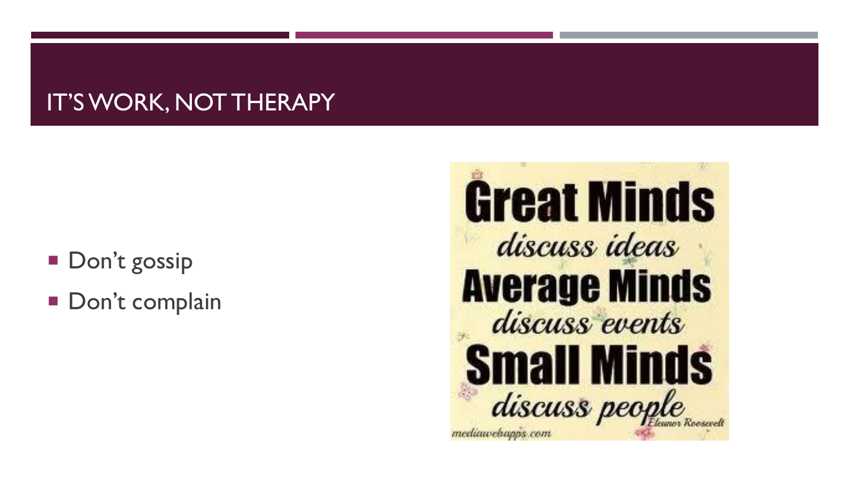## IT'S WORK, NOT THERAPY

- **Don't gossip**
- Don't complain

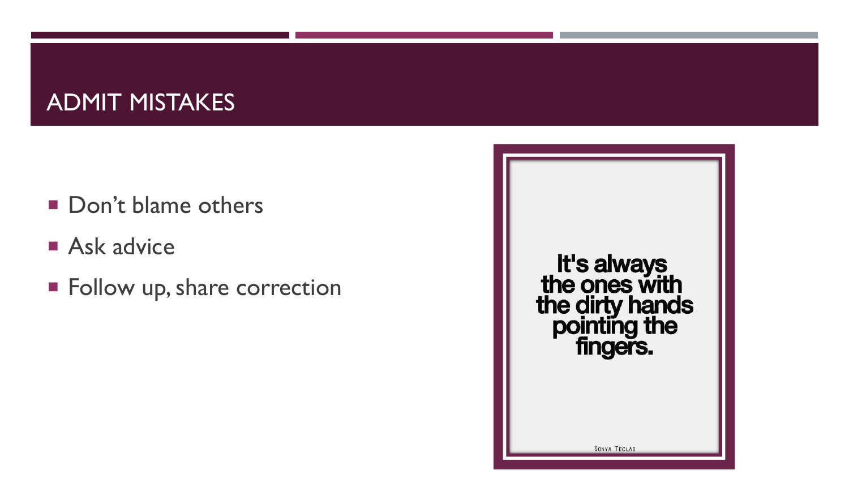### ADMIT MISTAKES

- Don't blame others
- **Ask advice**
- **Follow up, share correction**

It's always<br>the ones with the dirty hands<br>pointing the<br>fingers. SONYA TECLAI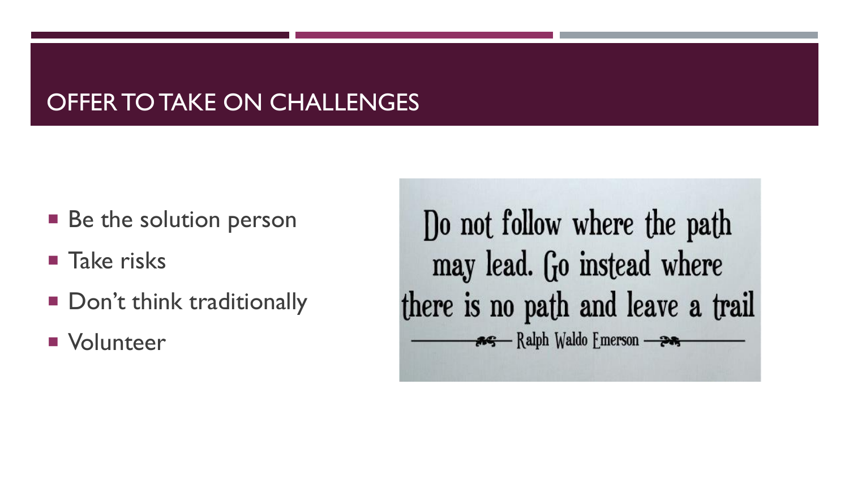## OFFER TO TAKE ON CHALLENGES

- Be the solution person
- **Take risks**
- Don't think traditionally
- **Nolunteer**

Do not follow where the path may lead. Go instead where there is no path and leave a trail As Ralph Waldo Emerson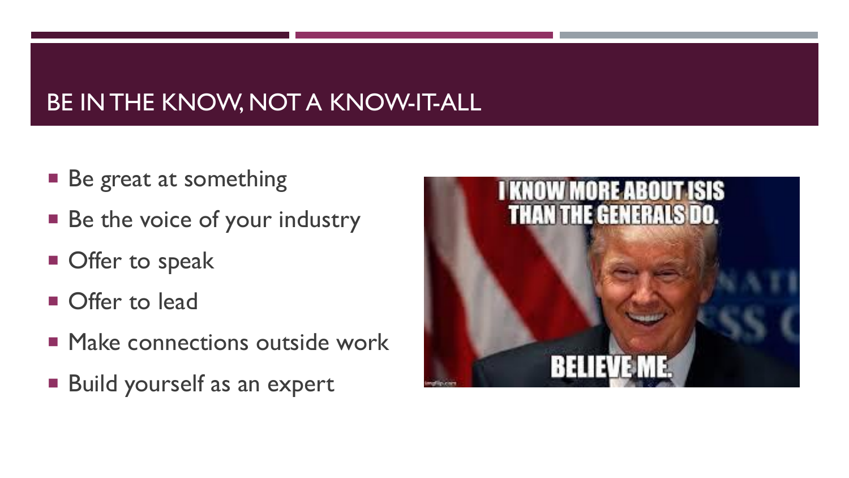# BE IN THE KNOW, NOT A KNOW-IT-ALL

- Be great at something
- Be the voice of your industry
- **Offer to speak**
- **Offer to lead**
- **Make connections outside work**
- **Build yourself as an expert**

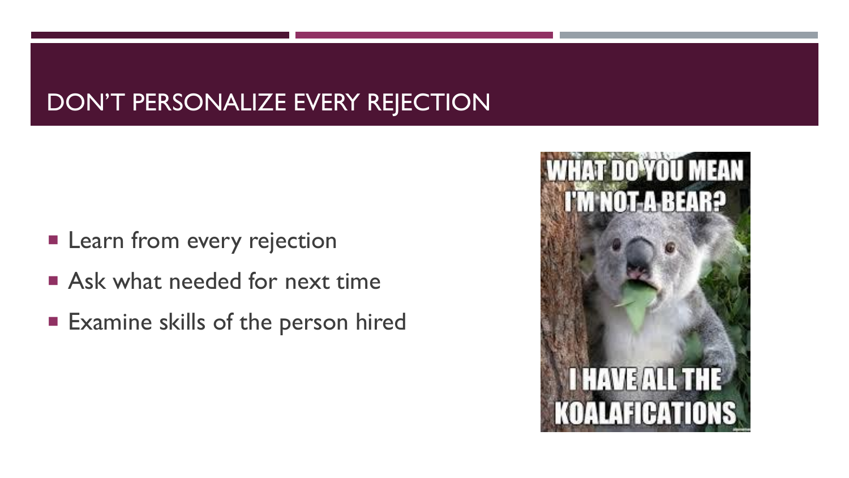## DON'T PERSONALIZE EVERY REJECTION

- **Learn from every rejection**
- **Ask what needed for next time**
- **Examine skills of the person hired**

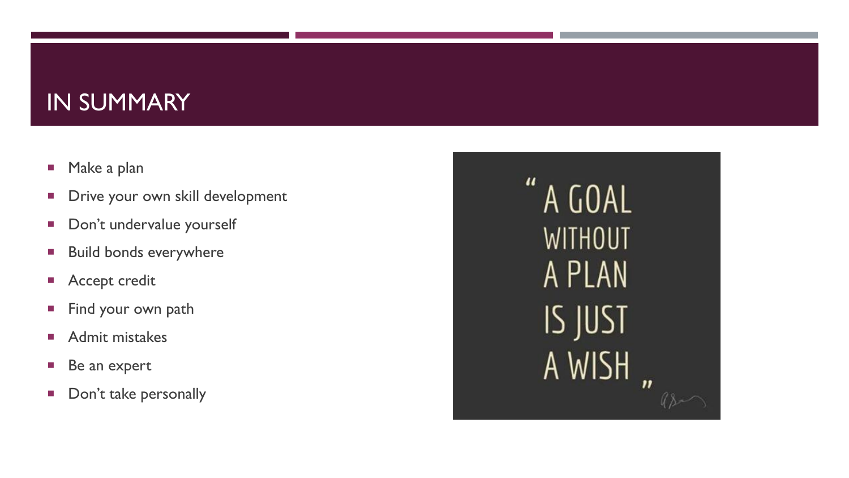#### IN SUMMARY

- **Make a plan**
- **Drive your own skill development**
- Don't undervalue yourself
- **Build bonds everywhere**
- **Accept credit**
- **Find your own path**
- **Admit mistakes**
- Be an expert
- Don't take personally